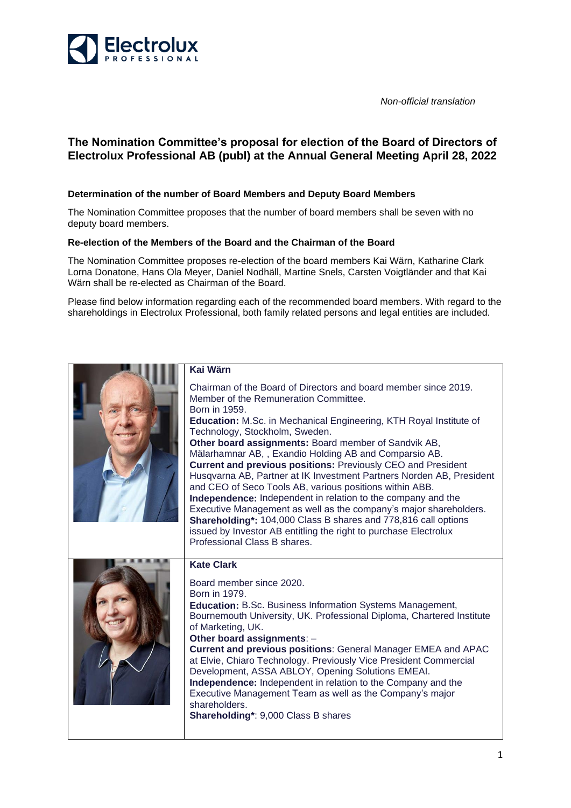

*Non-official translation*

## **The Nomination Committee's proposal for election of the Board of Directors of Electrolux Professional AB (publ) at the Annual General Meeting April 28, 2022**

## **Determination of the number of Board Members and Deputy Board Members**

The Nomination Committee proposes that the number of board members shall be seven with no deputy board members.

## **Re-election of the Members of the Board and the Chairman of the Board**

The Nomination Committee proposes re-election of the board members Kai Wärn, Katharine Clark Lorna Donatone, Hans Ola Meyer, Daniel Nodhäll, Martine Snels, Carsten Voigtländer and that Kai Wärn shall be re-elected as Chairman of the Board.

Please find below information regarding each of the recommended board members. With regard to the shareholdings in Electrolux Professional, both family related persons and legal entities are included.

| <b>Kai Wärn</b>                                                                                                                                                                                                                                                                                                                                                                                                                                                                                                                                                                                                                                                                                                                                                                                                                                                                       |
|---------------------------------------------------------------------------------------------------------------------------------------------------------------------------------------------------------------------------------------------------------------------------------------------------------------------------------------------------------------------------------------------------------------------------------------------------------------------------------------------------------------------------------------------------------------------------------------------------------------------------------------------------------------------------------------------------------------------------------------------------------------------------------------------------------------------------------------------------------------------------------------|
| Chairman of the Board of Directors and board member since 2019.<br>Member of the Remuneration Committee.<br>Born in 1959.<br><b>Education:</b> M.Sc. in Mechanical Engineering, KTH Royal Institute of<br>Technology, Stockholm, Sweden.<br>Other board assignments: Board member of Sandvik AB,<br>Mälarhamnar AB,, Exandio Holding AB and Comparsio AB.<br><b>Current and previous positions: Previously CEO and President</b><br>Husqvarna AB, Partner at IK Investment Partners Norden AB, President<br>and CEO of Seco Tools AB, various positions within ABB.<br>Independence: Independent in relation to the company and the<br>Executive Management as well as the company's major shareholders.<br><b>Shareholding*: 104,000 Class B shares and 778,816 call options</b><br>issued by Investor AB entitling the right to purchase Electrolux<br>Professional Class B shares. |
| <b>Kate Clark</b><br>Board member since 2020.<br>Born in 1979.<br><b>Education:</b> B.Sc. Business Information Systems Management,<br>Bournemouth University, UK. Professional Diploma, Chartered Institute<br>of Marketing, UK.<br>Other board assignments: -<br><b>Current and previous positions: General Manager EMEA and APAC</b><br>at Elvie, Chiaro Technology. Previously Vice President Commercial<br>Development, ASSA ABLOY, Opening Solutions EMEAI.<br><b>Independence:</b> Independent in relation to the Company and the<br>Executive Management Team as well as the Company's major<br>shareholders.<br>Shareholding*: 9,000 Class B shares                                                                                                                                                                                                                           |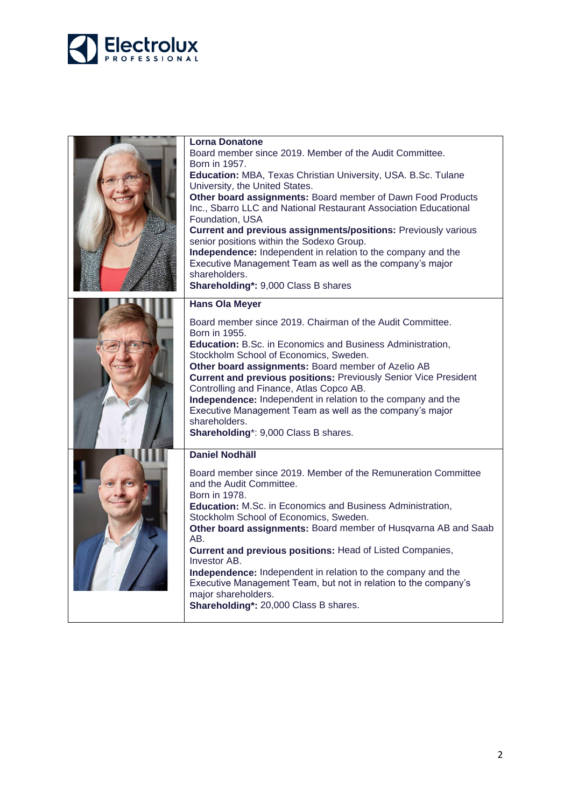

| Lorna Donatone                                                                                              |
|-------------------------------------------------------------------------------------------------------------|
| Board member since 2019. Member of the Audit Committee.                                                     |
| Born in 1957.                                                                                               |
| Education: MBA, Texas Christian University, USA. B.Sc. Tulane                                               |
| University, the United States.                                                                              |
| Other board assignments: Board member of Dawn Food Products                                                 |
| Inc., Sbarro LLC and National Restaurant Association Educational<br>Foundation, USA                         |
| <b>Current and previous assignments/positions: Previously various</b>                                       |
| senior positions within the Sodexo Group.                                                                   |
| Independence: Independent in relation to the company and the                                                |
| Executive Management Team as well as the company's major                                                    |
| shareholders.                                                                                               |
| Shareholding*: 9,000 Class B shares                                                                         |
| <b>Hans Ola Meyer</b>                                                                                       |
|                                                                                                             |
| Board member since 2019. Chairman of the Audit Committee.                                                   |
| Born in 1955.                                                                                               |
| <b>Education:</b> B.Sc. in Economics and Business Administration,<br>Stockholm School of Economics, Sweden. |
| Other board assignments: Board member of Azelio AB                                                          |
| <b>Current and previous positions: Previously Senior Vice President</b>                                     |
| Controlling and Finance, Atlas Copco AB.                                                                    |
| Independence: Independent in relation to the company and the                                                |
| Executive Management Team as well as the company's major                                                    |
| shareholders.                                                                                               |
| Shareholding*: 9,000 Class B shares.                                                                        |
| <b>Daniel Nodhäll</b>                                                                                       |
| Board member since 2019. Member of the Remuneration Committee                                               |
| and the Audit Committee.                                                                                    |
| Born in 1978.                                                                                               |
| <b>Education:</b> M.Sc. in Economics and Business Administration,                                           |
| Stockholm School of Economics, Sweden.                                                                      |
| Other board assignments: Board member of Husqvarna AB and Saab                                              |
| AB.                                                                                                         |
| Current and previous positions: Head of Listed Companies,<br><b>Investor AB.</b>                            |
| Independence: Independent in relation to the company and the                                                |
| Executive Management Team, but not in relation to the company's                                             |
| major shareholders.                                                                                         |
| Shareholding*: 20,000 Class B shares.                                                                       |
|                                                                                                             |